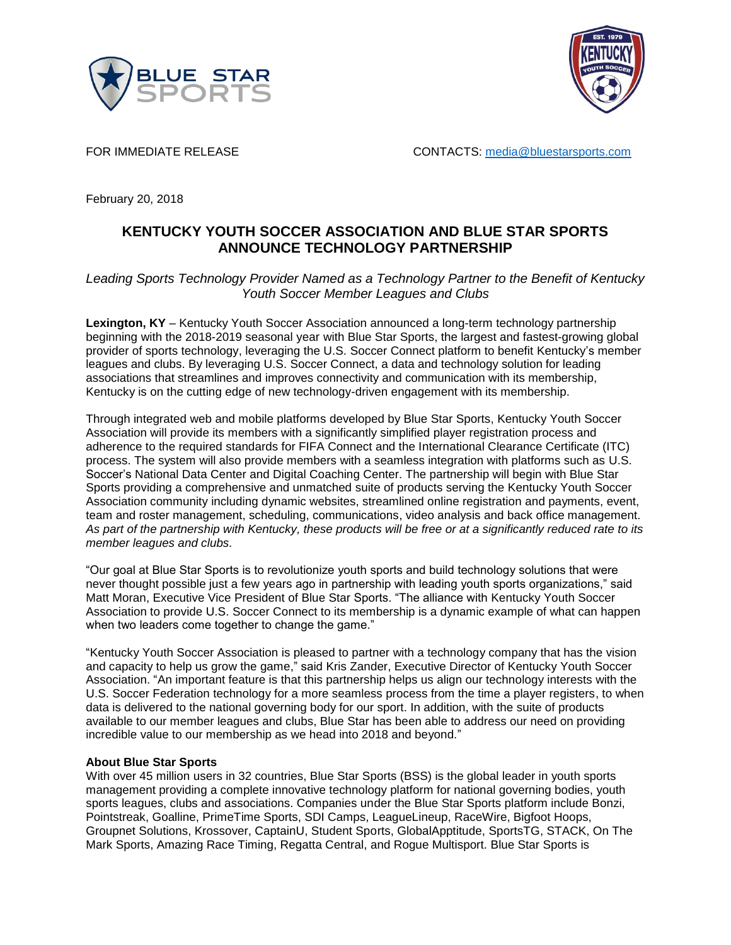



FOR IMMEDIATE RELEASE **CONTACTS:** [media@bluestarsports.com](mailto:media@bluestarsports.com)

February 20, 2018

## **KENTUCKY YOUTH SOCCER ASSOCIATION AND BLUE STAR SPORTS ANNOUNCE TECHNOLOGY PARTNERSHIP**

## *Leading Sports Technology Provider Named as a Technology Partner to the Benefit of Kentucky Youth Soccer Member Leagues and Clubs*

**Lexington, KY** – Kentucky Youth Soccer Association announced a long-term technology partnership beginning with the 2018-2019 seasonal year with Blue Star Sports, the largest and fastest-growing global provider of sports technology, leveraging the U.S. Soccer Connect platform to benefit Kentucky's member leagues and clubs. By leveraging U.S. Soccer Connect, a data and technology solution for leading associations that streamlines and improves connectivity and communication with its membership, Kentucky is on the cutting edge of new technology-driven engagement with its membership.

Through integrated web and mobile platforms developed by Blue Star Sports, Kentucky Youth Soccer Association will provide its members with a significantly simplified player registration process and adherence to the required standards for FIFA Connect and the International Clearance Certificate (ITC) process. The system will also provide members with a seamless integration with platforms such as U.S. Soccer's National Data Center and Digital Coaching Center. The partnership will begin with Blue Star Sports providing a comprehensive and unmatched suite of products serving the Kentucky Youth Soccer Association community including dynamic websites, streamlined online registration and payments, event, team and roster management, scheduling, communications, video analysis and back office management. *As part of the partnership with Kentucky, these products will be free or at a significantly reduced rate to its member leagues and clubs.*

"Our goal at Blue Star Sports is to revolutionize youth sports and build technology solutions that were never thought possible just a few years ago in partnership with leading youth sports organizations," said Matt Moran, Executive Vice President of Blue Star Sports. "The alliance with Kentucky Youth Soccer Association to provide U.S. Soccer Connect to its membership is a dynamic example of what can happen when two leaders come together to change the game."

"Kentucky Youth Soccer Association is pleased to partner with a technology company that has the vision and capacity to help us grow the game," said Kris Zander, Executive Director of Kentucky Youth Soccer Association. "An important feature is that this partnership helps us align our technology interests with the U.S. Soccer Federation technology for a more seamless process from the time a player registers, to when data is delivered to the national governing body for our sport. In addition, with the suite of products available to our member leagues and clubs, Blue Star has been able to address our need on providing incredible value to our membership as we head into 2018 and beyond."

## **About Blue Star Sports**

With over 45 million users in 32 countries, Blue Star Sports (BSS) is the global leader in youth sports management providing a complete innovative technology platform for national governing bodies, youth sports leagues, clubs and associations. Companies under the Blue Star Sports platform include Bonzi, Pointstreak, Goalline, PrimeTime Sports, SDI Camps, LeagueLineup, RaceWire, Bigfoot Hoops, Groupnet Solutions, Krossover, CaptainU, Student Sports, GlobalApptitude, SportsTG, STACK, On The Mark Sports, Amazing Race Timing, Regatta Central, and Rogue Multisport. Blue Star Sports is